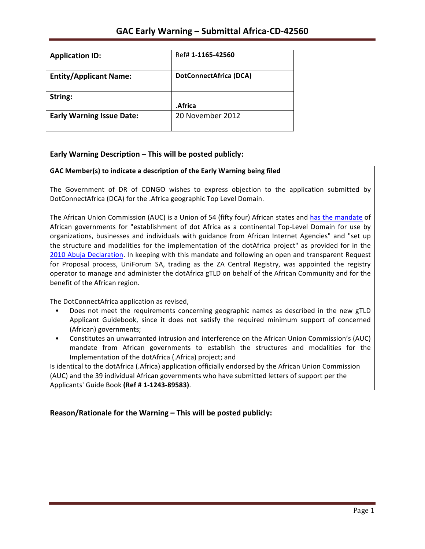| <b>Application ID:</b>           | Ref# 1-1165-42560             |
|----------------------------------|-------------------------------|
| <b>Entity/Applicant Name:</b>    | <b>DotConnectAfrica (DCA)</b> |
| String:                          | .Africa                       |
| <b>Early Warning Issue Date:</b> | 20 November 2012              |

## **Early Warning Description – This will be posted publicly:**

### GAC Member(s) to indicate a description of the Early Warning being filed

The Government of DR of CONGO wishes to express objection to the application submitted by DotConnectAfrica (DCA) for the .Africa geographic Top Level Domain.

The African Union Commission (AUC) is a Union of 54 (fifty four) African states and has the mandate of African governments for "establishment of dot Africa as a continental Top-Level Domain for use by organizations, businesses and individuals with guidance from African Internet Agencies" and "set up the structure and modalities for the implementation of the dotAfrica project" as provided for in the 2010 Abuja Declaration. In keeping with this mandate and following an open and transparent Request for Proposal process, UniForum SA, trading as the ZA Central Registry, was appointed the registry operator to manage and administer the dotAfrica gTLD on behalf of the African Community and for the benefit of the African region.

The DotConnectAfrica application as revised,

- Does not meet the requirements concerning geographic names as described in the new gTLD Applicant Guidebook, since it does not satisfy the required minimum support of concerned (African) governments;
- Constitutes an unwarranted intrusion and interference on the African Union Commission's (AUC) mandate from African governments to establish the structures and modalities for the Implementation of the dotAfrica (.Africa) project; and

Is identical to the dotAfrica (.Africa) application officially endorsed by the African Union Commission (AUC) and the 39 individual African governments who have submitted letters of support per the Applicants' Guide Book **(Ref # 1-1243-89583)**.

**Reason/Rationale for the Warning – This will be posted publicly:**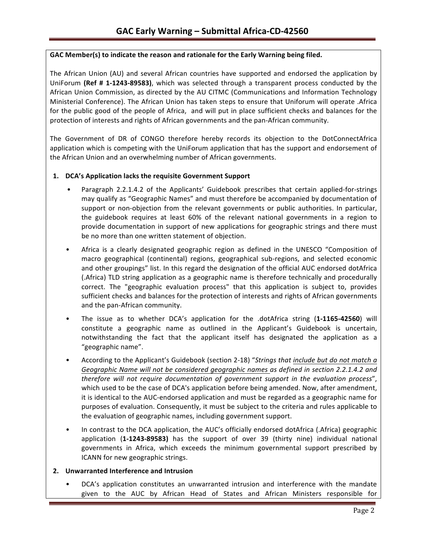### GAC Member(s) to indicate the reason and rationale for the Early Warning being filed.

The African Union (AU) and several African countries have supported and endorsed the application by UniForum (Ref # 1-1243-89583), which was selected through a transparent process conducted by the African Union Commission, as directed by the AU CITMC (Communications and Information Technology Ministerial Conference). The African Union has taken steps to ensure that Uniforum will operate .Africa for the public good of the people of Africa, and will put in place sufficient checks and balances for the protection of interests and rights of African governments and the pan-African community.

The Government of DR of CONGO therefore hereby records its objection to the DotConnectAfrica application which is competing with the UniForum application that has the support and endorsement of the African Union and an overwhelming number of African governments.

### 1. **DCA's Application lacks the requisite Government Support**

- Paragraph 2.2.1.4.2 of the Applicants' Guidebook prescribes that certain applied-for-strings may qualify as "Geographic Names" and must therefore be accompanied by documentation of support or non-objection from the relevant governments or public authorities. In particular, the guidebook requires at least 60% of the relevant national governments in a region to provide documentation in support of new applications for geographic strings and there must be no more than one written statement of objection.
- Africa is a clearly designated geographic region as defined in the UNESCO "Composition of macro geographical (continental) regions, geographical sub-regions, and selected economic and other groupings" list. In this regard the designation of the official AUC endorsed dotAfrica (.Africa) TLD string application as a geographic name is therefore technically and procedurally correct. The "geographic evaluation process" that this application is subject to, provides sufficient checks and balances for the protection of interests and rights of African governments and the pan-African community.
- The issue as to whether DCA's application for the .dotAfrica string (1-1165-42560) will constitute a geographic name as outlined in the Applicant's Guidebook is uncertain, notwithstanding the fact that the applicant itself has designated the application as a "geographic name".
- According to the Applicant's Guidebook (section 2-18) "*Strings that include but do not match a* Geographic Name will not be considered geographic names as defined in section 2.2.1.4.2 and *therefore will not require documentation of government support in the evaluation process"*, which used to be the case of DCA's application before being amended. Now, after amendment, it is identical to the AUC-endorsed application and must be regarded as a geographic name for purposes of evaluation. Consequently, it must be subject to the criteria and rules applicable to the evaluation of geographic names, including government support.
- In contrast to the DCA application, the AUC's officially endorsed dotAfrica (.Africa) geographic application (1-1243-89583) has the support of over 39 (thirty nine) individual national governments in Africa, which exceeds the minimum governmental support prescribed by ICANN for new geographic strings.

### **2. Unwarranted Interference and Intrusion**

DCA's application constitutes an unwarranted intrusion and interference with the mandate given to the AUC by African Head of States and African Ministers responsible for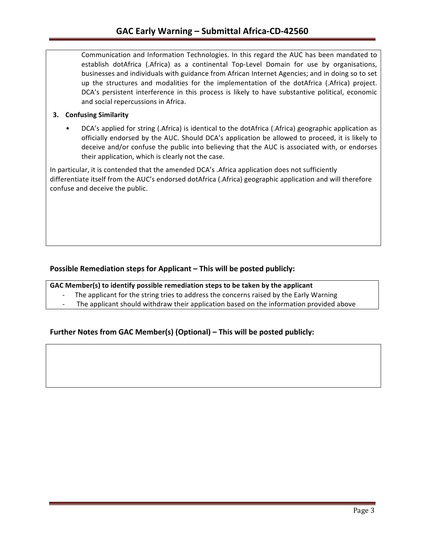Communication and Information Technologies. In this regard the AUC has been mandated to establish dotAfrica (.Africa) as a continental Top-Level Domain for use by organisations, businesses and individuals with guidance from African Internet Agencies; and in doing so to set up the structures and modalities for the implementation of the dotAfrica (.Africa) project. DCA's persistent interference in this process is likely to have substantive political, economic and social repercussions in Africa.

### **3. Confusing Similarity**

DCA's applied for string (.Africa) is identical to the dotAfrica (.Africa) geographic application as officially endorsed by the AUC. Should DCA's application be allowed to proceed, it is likely to deceive and/or confuse the public into believing that the AUC is associated with, or endorses their application, which is clearly not the case.

In particular, it is contended that the amended DCA's .Africa application does not sufficiently differentiate itself from the AUC's endorsed dotAfrica (.Africa) geographic application and will therefore confuse and deceive the public.

## **Possible Remediation steps for Applicant – This will be posted publicly:**

### GAC Member(s) to identify possible remediation steps to be taken by the applicant

- The applicant for the string tries to address the concerns raised by the Early Warning
- The applicant should withdraw their application based on the information provided above

## **Further Notes from GAC Member(s) (Optional) – This will be posted publicly:**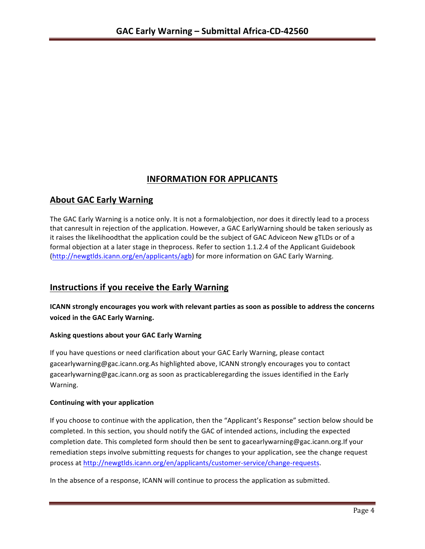# **INFORMATION FOR APPLICANTS**

# **About GAC Early Warning**

The GAC Early Warning is a notice only. It is not a formalobjection, nor does it directly lead to a process that canresult in rejection of the application. However, a GAC EarlyWarning should be taken seriously as it raises the likelihoodthat the application could be the subject of GAC Adviceon New gTLDs or of a formal objection at a later stage in theprocess. Refer to section 1.1.2.4 of the Applicant Guidebook (http://newgtlds.icann.org/en/applicants/agb) for more information on GAC Early Warning.

# **Instructions if you receive the Early Warning**

**ICANN** strongly encourages you work with relevant parties as soon as possible to address the concerns **voiced in the GAC Early Warning.** 

## **Asking questions about your GAC Early Warning**

If you have questions or need clarification about your GAC Early Warning, please contact gacearlywarning@gac.icann.org.As highlighted above, ICANN strongly encourages you to contact gacearlywarning@gac.icann.org as soon as practicableregarding the issues identified in the Early Warning. 

### **Continuing with your application**

If you choose to continue with the application, then the "Applicant's Response" section below should be completed. In this section, you should notify the GAC of intended actions, including the expected completion date. This completed form should then be sent to gacearlywarning@gac.icann.org.If your remediation steps involve submitting requests for changes to your application, see the change request process at http://newgtlds.icann.org/en/applicants/customer-service/change-requests.

In the absence of a response, ICANN will continue to process the application as submitted.